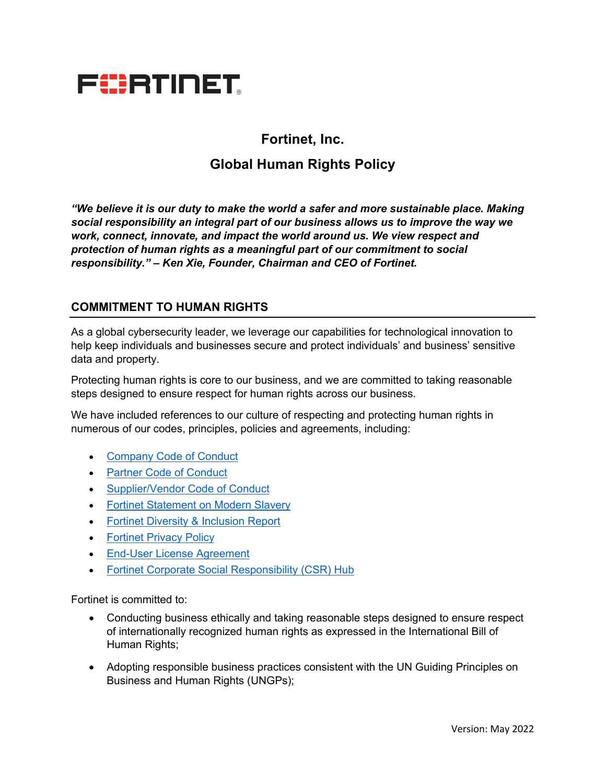

## **Fortinet, Inc.**

# **Global Human Rights Policy**

*"We believe it is our duty to make the world a safer and more sustainable place. Making social responsibility an integral part of our business allows us to improve the way we work, connect, innovate, and impact the world around us. We view respect and protection of human rights as a meaningful part of our commitment to social responsibility." – Ken Xie, Founder, Chairman and CEO of Fortinet.*

#### **COMMITMENT TO HUMAN RIGHTS**

As a global cybersecurity leader, we leverage our capabilities for technological innovation to help keep individuals and businesses secure and protect individuals' and business' sensitive data and property.

Protecting human rights is core to our business, and we are committed to taking reasonable steps designed to ensure respect for human rights across our business.

We have included references to our culture of respecting and protecting human rights in numerous of our codes, principles, policies and agreements, including:

- Company Code of Conduct
- Partner Code of Conduct
- Supplier/Vendor Code of Conduct
- Fortinet Statement on Modern Slavery
- Fortinet Diversity & Inclusion Report
- Fortinet Privacy Policy
- End-User License Agreement
- Fortinet Corporate Social Responsibility (CSR) Hub

Fortinet is committed to:

- Conducting business ethically and taking reasonable steps designed to ensure respect of internationally recognized human rights as expressed in the International Bill of Human Rights;
- Adopting responsible business practices consistent with the UN Guiding Principles on Business and Human Rights (UNGPs);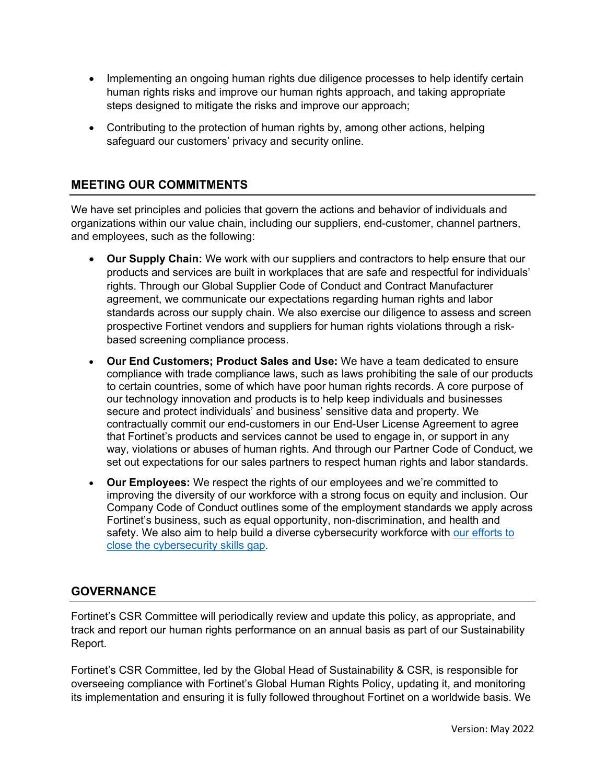- Implementing an ongoing human rights due diligence processes to help identify certain human rights risks and improve our human rights approach, and taking appropriate steps designed to mitigate the risks and improve our approach;
- Contributing to the protection of human rights by, among other actions, helping safeguard our customers' privacy and security online.

### **MEETING OUR COMMITMENTS**

We have set principles and policies that govern the actions and behavior of individuals and organizations within our value chain, including our suppliers, end-customer, channel partners, and employees, such as the following:

- **Our Supply Chain:** We work with our suppliers and contractors to help ensure that our products and services are built in workplaces that are safe and respectful for individuals' rights. Through our Global Supplier Code of Conduct and Contract Manufacturer agreement, we communicate our expectations regarding human rights and labor standards across our supply chain. We also exercise our diligence to assess and screen prospective Fortinet vendors and suppliers for human rights violations through a riskbased screening compliance process.
- **Our End Customers; Product Sales and Use:** We have a team dedicated to ensure compliance with trade compliance laws, such as laws prohibiting the sale of our products to certain countries, some of which have poor human rights records. A core purpose of our technology innovation and products is to help keep individuals and businesses secure and protect individuals' and business' sensitive data and property. We contractually commit our end-customers in our End-User License Agreement to agree that Fortinet's products and services cannot be used to engage in, or support in any way, violations or abuses of human rights. And through our Partner Code of Conduct, we set out expectations for our sales partners to respect human rights and labor standards.
- **Our Employees:** We respect the rights of our employees and we're committed to improving the diversity of our workforce with a strong focus on equity and inclusion. Our Company Code of Conduct outlines some of the employment standards we apply across Fortinet's business, such as equal opportunity, non-discrimination, and health and safety. We also aim to help build a diverse cybersecurity workforce with our efforts to close the cybersecurity skills gap.

### **GOVERNANCE**

Fortinet's CSR Committee will periodically review and update this policy, as appropriate, and track and report our human rights performance on an annual basis as part of our Sustainability Report.

Fortinet's CSR Committee, led by the Global Head of Sustainability & CSR, is responsible for overseeing compliance with Fortinet's Global Human Rights Policy, updating it, and monitoring its implementation and ensuring it is fully followed throughout Fortinet on a worldwide basis. We